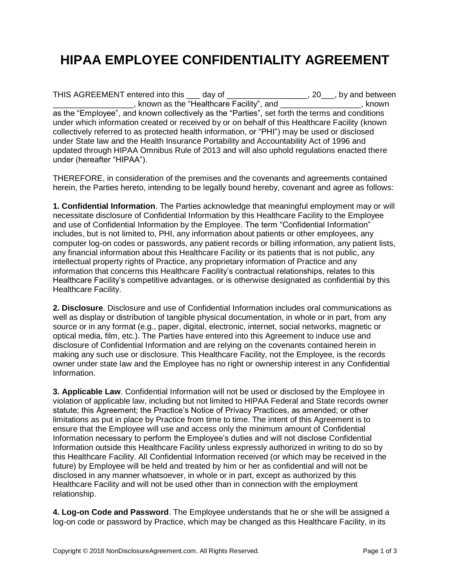## **HIPAA EMPLOYEE CONFIDENTIALITY AGREEMENT**

THIS AGREEMENT entered into this \_\_\_ day of \_\_\_\_\_\_\_\_\_\_\_\_\_\_\_\_\_\_, 20\_\_, by and between \_\_\_\_\_\_\_\_\_\_\_\_\_\_\_\_\_\_, known as the "Healthcare Facility", and \_\_\_\_\_\_\_\_\_\_\_\_\_\_\_\_\_\_, known as the "Employee", and known collectively as the "Parties", set forth the terms and conditions under which information created or received by or on behalf of this Healthcare Facility (known collectively referred to as protected health information, or "PHI") may be used or disclosed under State law and the Health Insurance Portability and Accountability Act of 1996 and updated through HIPAA Omnibus Rule of 2013 and will also uphold regulations enacted there under (hereafter "HIPAA").

THEREFORE, in consideration of the premises and the covenants and agreements contained herein, the Parties hereto, intending to be legally bound hereby, covenant and agree as follows:

**1. Confidential Information**. The Parties acknowledge that meaningful employment may or will necessitate disclosure of Confidential Information by this Healthcare Facility to the Employee and use of Confidential Information by the Employee. The term "Confidential Information" includes, but is not limited to, PHI, any information about patients or other employees, any computer log-on codes or passwords, any patient records or billing information, any patient lists, any financial information about this Healthcare Facility or its patients that is not public, any intellectual property rights of Practice, any proprietary information of Practice and any information that concerns this Healthcare Facility's contractual relationships, relates to this Healthcare Facility's competitive advantages, or is otherwise designated as confidential by this Healthcare Facility.

**2. Disclosure**. Disclosure and use of Confidential Information includes oral communications as well as display or distribution of tangible physical documentation, in whole or in part, from any source or in any format (e.g., paper, digital, electronic, internet, social networks, magnetic or optical media, film, etc.). The Parties have entered into this Agreement to induce use and disclosure of Confidential Information and are relying on the covenants contained herein in making any such use or disclosure. This Healthcare Facility, not the Employee, is the records owner under state law and the Employee has no right or ownership interest in any Confidential Information.

**3. Applicable Law**. Confidential Information will not be used or disclosed by the Employee in violation of applicable law, including but not limited to HIPAA Federal and State records owner statute; this Agreement; the Practice's Notice of Privacy Practices, as amended; or other limitations as put in place by Practice from time to time. The intent of this Agreement is to ensure that the Employee will use and access only the minimum amount of Confidential Information necessary to perform the Employee's duties and will not disclose Confidential Information outside this Healthcare Facility unless expressly authorized in writing to do so by this Healthcare Facility. All Confidential Information received (or which may be received in the future) by Employee will be held and treated by him or her as confidential and will not be disclosed in any manner whatsoever, in whole or in part, except as authorized by this Healthcare Facility and will not be used other than in connection with the employment relationship.

**4. Log-on Code and Password**. The Employee understands that he or she will be assigned a log-on code or password by Practice, which may be changed as this Healthcare Facility, in its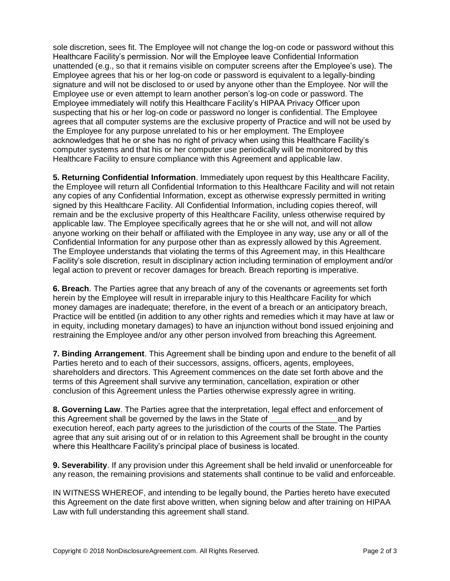sole discretion, sees fit. The Employee will not change the log-on code or password without this Healthcare Facility's permission. Nor will the Employee leave Confidential Information unattended (e.g., so that it remains visible on computer screens after the Employee's use). The Employee agrees that his or her log-on code or password is equivalent to a legally-binding signature and will not be disclosed to or used by anyone other than the Employee. Nor will the Employee use or even attempt to learn another person's log-on code or password. The Employee immediately will notify this Healthcare Facility's HIPAA Privacy Officer upon suspecting that his or her log-on code or password no longer is confidential. The Employee agrees that all computer systems are the exclusive property of Practice and will not be used by the Employee for any purpose unrelated to his or her employment. The Employee acknowledges that he or she has no right of privacy when using this Healthcare Facility's computer systems and that his or her computer use periodically will be monitored by this Healthcare Facility to ensure compliance with this Agreement and applicable law.

**5. Returning Confidential Information**. Immediately upon request by this Healthcare Facility, the Employee will return all Confidential Information to this Healthcare Facility and will not retain any copies of any Confidential Information, except as otherwise expressly permitted in writing signed by this Healthcare Facility. All Confidential Information, including copies thereof, will remain and be the exclusive property of this Healthcare Facility, unless otherwise required by applicable law. The Employee specifically agrees that he or she will not, and will not allow anyone working on their behalf or affiliated with the Employee in any way, use any or all of the Confidential Information for any purpose other than as expressly allowed by this Agreement. The Employee understands that violating the terms of this Agreement may, in this Healthcare Facility's sole discretion, result in disciplinary action including termination of employment and/or legal action to prevent or recover damages for breach. Breach reporting is imperative.

**6. Breach**. The Parties agree that any breach of any of the covenants or agreements set forth herein by the Employee will result in irreparable injury to this Healthcare Facility for which money damages are inadequate; therefore, in the event of a breach or an anticipatory breach, Practice will be entitled (in addition to any other rights and remedies which it may have at law or in equity, including monetary damages) to have an injunction without bond issued enjoining and restraining the Employee and/or any other person involved from breaching this Agreement.

**7. Binding Arrangement**. This Agreement shall be binding upon and endure to the benefit of all Parties hereto and to each of their successors, assigns, officers, agents, employees, shareholders and directors. This Agreement commences on the date set forth above and the terms of this Agreement shall survive any termination, cancellation, expiration or other conclusion of this Agreement unless the Parties otherwise expressly agree in writing.

**8. Governing Law**. The Parties agree that the interpretation, legal effect and enforcement of this Agreement shall be governed by the laws in the State of The Land by and by execution hereof, each party agrees to the jurisdiction of the courts of the State. The Parties agree that any suit arising out of or in relation to this Agreement shall be brought in the county where this Healthcare Facility's principal place of business is located.

**9. Severability**. If any provision under this Agreement shall be held invalid or unenforceable for any reason, the remaining provisions and statements shall continue to be valid and enforceable.

IN WITNESS WHEREOF, and intending to be legally bound, the Parties hereto have executed this Agreement on the date first above written, when signing below and after training on HIPAA Law with full understanding this agreement shall stand.